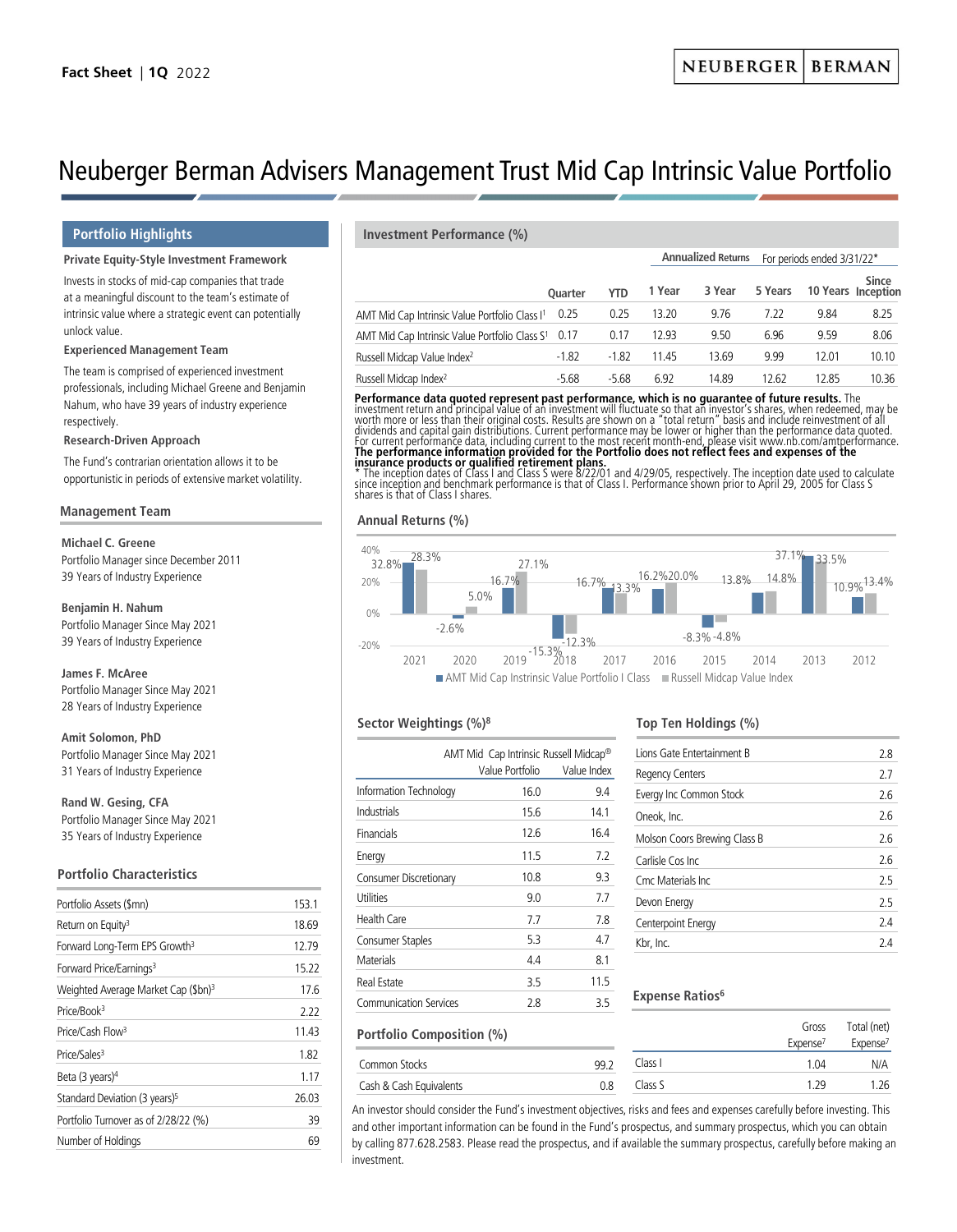**Annualized Returns** For periods ended 3/31/22\*

# Neuberger Berman Advisers Management Trust Mid Cap Intrinsic Value Portfolio

# **Private Equity-Style Investment Framework**

Invests in stocks of mid-cap companies that trade at a meaningful discount to the team's estimate of intrinsic value where a strategic event can potentially unlock value.

### **Experienced Management Team**

The team is comprised of experienced investment professionals, including Michael Greene and Benjamin Nahum, who have 39 years of industry experience respectively.

### **Research-Driven Approach**

The Fund's contrarian orientation allows it to be opportunistic in periods of extensive market volatility.

### **Management Team**

**Michael C. Greene**

Portfolio Manager since December 2011 39 Years of Industry Experience

**Benjamin H. Nahum** Portfolio Manager Since May 2021 39 Years of Industry Experience

**James F. McAree** Portfolio Manager Since May 2021 28 Years of Industry Experience

**Amit Solomon, PhD** Portfolio Manager Since May 2021 31 Years of Industry Experience

**Rand W. Gesing, CFA** Portfolio Manager Since May 2021 35 Years of Industry Experience

# **Portfolio Characteristics**

| Portfolio Assets (\$mn)                         | 153.1 |
|-------------------------------------------------|-------|
| Return on Equity <sup>3</sup>                   | 18.69 |
| Forward Long-Term EPS Growth <sup>3</sup>       | 12.79 |
| Forward Price/Earnings <sup>3</sup>             | 15.22 |
| Weighted Average Market Cap (\$bn) <sup>3</sup> | 17.6  |
| Price/Book <sup>3</sup>                         | 2.22  |
| Price/Cash Flow <sup>3</sup>                    | 11.43 |
| Price/Sales <sup>3</sup>                        | 1.82  |
| Beta $(3 \text{ years})^4$                      | 1.17  |
| Standard Deviation (3 years) <sup>5</sup>       | 26.03 |
| Portfolio Turnover as of 2/28/22 (%)            | 39    |
| Number of Holdings                              | 69    |
|                                                 |       |

# **Portfolio Highlights Investment Performance (%)**

|                                                                 | <b>Ouarter</b> |         |        |        |         |       |                             |
|-----------------------------------------------------------------|----------------|---------|--------|--------|---------|-------|-----------------------------|
|                                                                 |                | YTD     | 1 Year | 3 Year | 5 Years |       | Since<br>10 Years Inception |
| AMT Mid Cap Intrinsic Value Portfolio Class I <sup>1</sup> 0.25 |                | 0.25    | 13.20  | 9.76   | 7.22    | 9.84  | 8.25                        |
| AMT Mid Cap Intrinsic Value Portfolio Class S <sup>1</sup> 0.17 |                | 0.17    | 12.93  | 9.50   | 6.96    | 9.59  | 8.06                        |
| Russell Midcap Value Index <sup>2</sup>                         | $-1.82$        | $-1.82$ | 11.45  | 13.69  | 9.99    | 12.01 | 10.10                       |
| Russell Midcap Index <sup>2</sup>                               | $-5.68$        | $-5.68$ | 6.92   | 14.89  | 12.62   | 12.85 | 10.36                       |

**Performance data quoted represent past performance, which is no guarantee of future results.** The<br>investment return and principal value of an investment will fluctuate so that an investor's shares, when redeemed, may be<br>w

**insurance products or qualified retirement plans.**<br>\* The inception dates of Class I and Class S were 8/22/01 and 4/29/05, respectively. The inception date used to calculate<br>since inception and benchmark performance is tha shares is that of Class I shares.

# **Annual Returns (%)**



# **Sector Weightings (%)8**

|                               | AMT Mid Cap Intrinsic Russell Midcap®<br>Value Portfolio | Value Index |
|-------------------------------|----------------------------------------------------------|-------------|
| Information Technology        | 16.0                                                     | 9.4         |
| Industrials                   | 15.6                                                     | 14.1        |
| Financials                    | 12.6                                                     | 16.4        |
| Energy                        | 11.5                                                     | 72          |
| Consumer Discretionary        | 10.8                                                     | 9.3         |
| Utilities                     | 9.0                                                      | 7.7         |
| Health Care                   | 7.7                                                      | 7.8         |
| Consumer Staples              | 5.3                                                      | 4.7         |
| <b>Materials</b>              | 4.4                                                      | 8.1         |
| <b>Real Estate</b>            | 3.5                                                      | 11.5        |
| <b>Communication Services</b> | 2.8                                                      | 3.5         |

# **Portfolio Composition (%)**

| Common Stocks           |  |
|-------------------------|--|
| Cash & Cash Equivalents |  |

# **Top Ten Holdings (%)**

| 2.8 |
|-----|
| 2.7 |
| 26  |
| 26  |
| 2.6 |
| 2.6 |
| 25  |
| 25  |
| 24  |
| 74  |
|     |

# **Expense Ratios**<sup>6</sup>

|      |         | Gross<br>Expense <sup>7</sup> | Total (net)<br>Expense <sup>7</sup> |
|------|---------|-------------------------------|-------------------------------------|
| 99.2 | Class I | 1.04                          | N/A                                 |
| 0.8  | Class S | 1 29                          | 1.26                                |

An investor should consider the Fund's investment objectives, risks and fees and expenses carefully before investing. This and other important information can be found in the Fund's prospectus, and summary prospectus, which you can obtain by calling 877.628.2583. Please read the prospectus, and if available the summary prospectus, carefully before making an investment.